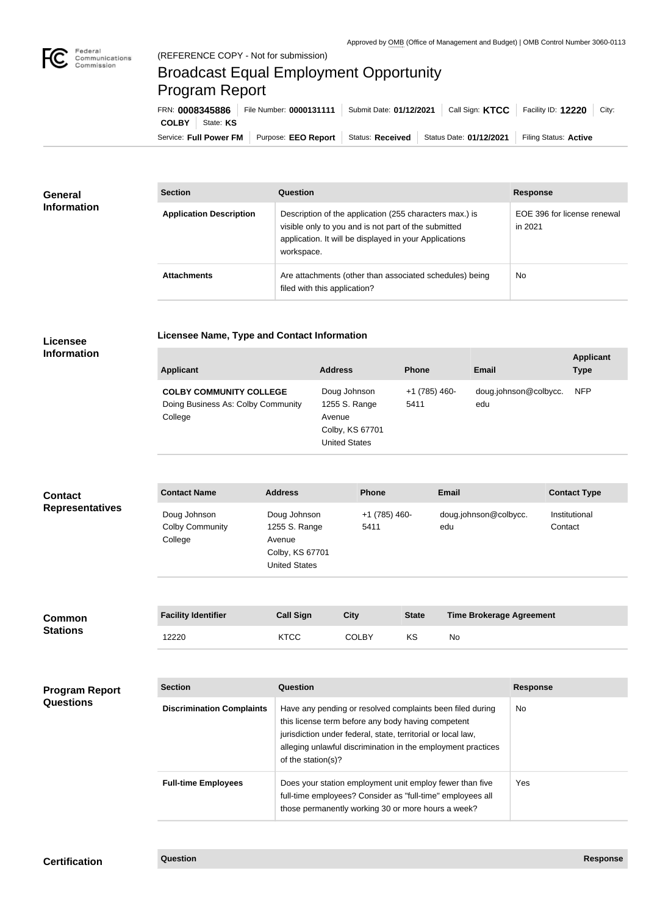

## Broadcast Equal Employment Opportunity Program Report

**Licensee Name, Type and Contact Information**

| FRN: 0008345886 |                        | File Number: 0000131111                | Submit Date: 01/12/2021 |                         | Call Sign: KTCC   Facility ID: 12220<br>City: |
|-----------------|------------------------|----------------------------------------|-------------------------|-------------------------|-----------------------------------------------|
| <b>COLBY</b>    | State: KS              |                                        |                         |                         |                                               |
|                 | Service: Full Power FM | Purpose: EEO Report   Status: Received |                         | Status Date: 01/12/2021 | Filing Status: Active                         |

| <b>General</b><br><b>Information</b> | <b>Section</b>                 | Question                                                                                                                                                                                | <b>Response</b>                        |  |
|--------------------------------------|--------------------------------|-----------------------------------------------------------------------------------------------------------------------------------------------------------------------------------------|----------------------------------------|--|
|                                      | <b>Application Description</b> | Description of the application (255 characters max.) is<br>visible only to you and is not part of the submitted<br>application. It will be displayed in your Applications<br>workspace. | EOE 396 for license renewal<br>in 2021 |  |
|                                      | <b>Attachments</b>             | Are attachments (other than associated schedules) being<br>filed with this application?                                                                                                 | No                                     |  |

## **Licensee Information**

| <b>Applicant</b>                                                                | <b>Address</b>                                                                     | <b>Phone</b>          | Email                        | <b>Applicant</b><br><b>Type</b> |
|---------------------------------------------------------------------------------|------------------------------------------------------------------------------------|-----------------------|------------------------------|---------------------------------|
| <b>COLBY COMMUNITY COLLEGE</b><br>Doing Business As: Colby Community<br>College | Doug Johnson<br>1255 S. Range<br>Avenue<br>Colby, KS 67701<br><b>United States</b> | +1 (785) 460-<br>5411 | doug.johnson@colbycc.<br>edu | <b>NFP</b>                      |

| <b>Contact</b>         | <b>Contact Name</b>                               | <b>Address</b>                                                                     | <b>Phone</b>          | <b>Email</b>                 | <b>Contact Type</b>      |
|------------------------|---------------------------------------------------|------------------------------------------------------------------------------------|-----------------------|------------------------------|--------------------------|
| <b>Representatives</b> | Doug Johnson<br><b>Colby Community</b><br>College | Doug Johnson<br>1255 S. Range<br>Avenue<br>Colby, KS 67701<br><b>United States</b> | +1 (785) 460-<br>5411 | doug.johnson@colbycc.<br>edu | Institutional<br>Contact |

| <b>Common</b><br><b>Stations</b> | <b>Facility Identifier</b> | <b>Call Sign</b> | City         | <b>State</b> | <b>Time Brokerage Agreement</b> |
|----------------------------------|----------------------------|------------------|--------------|--------------|---------------------------------|
|                                  | 12220                      | <b>KTCC</b>      | <b>COLBY</b> | ΚS           | No                              |

| <b>Program Report</b><br><b>Questions</b> | <b>Section</b>                   | Question                                                                                                                                                                                                                                                              | <b>Response</b> |
|-------------------------------------------|----------------------------------|-----------------------------------------------------------------------------------------------------------------------------------------------------------------------------------------------------------------------------------------------------------------------|-----------------|
|                                           | <b>Discrimination Complaints</b> | Have any pending or resolved complaints been filed during<br>this license term before any body having competent<br>jurisdiction under federal, state, territorial or local law,<br>alleging unlawful discrimination in the employment practices<br>of the station(s)? | No.             |
|                                           | <b>Full-time Employees</b>       | Does your station employment unit employ fewer than five<br>full-time employees? Consider as "full-time" employees all<br>those permanently working 30 or more hours a week?                                                                                          | Yes.            |